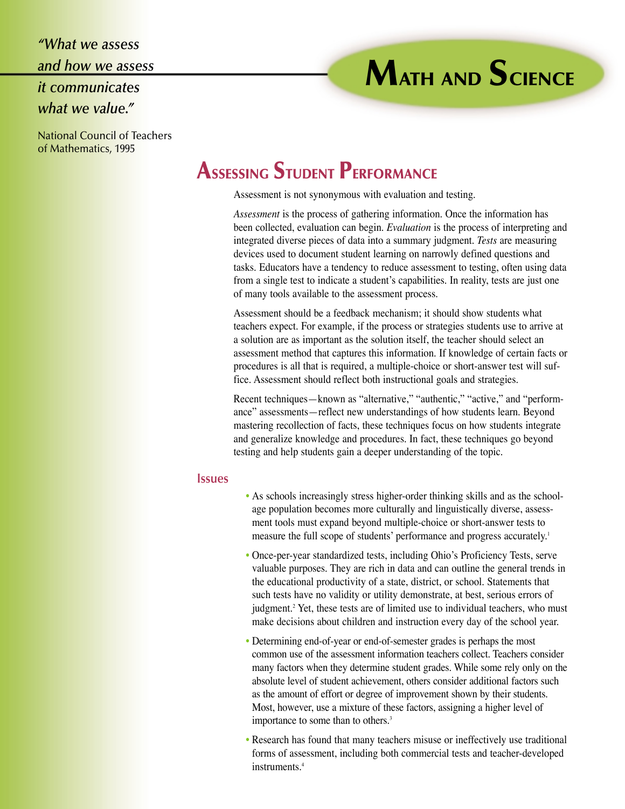*"What we assess and how we assess it communicates what we value."*

#### National Council of Teachers of Mathematics, 1995

# **ASSESSING STUDENT PERFORMANCE**

Assessment is not synonymous with evaluation and testing.

*Assessment* is the process of gathering information. Once the information has been collected, evaluation can begin. *Evaluation* is the process of interpreting and integrated diverse pieces of data into a summary judgment. *Tests* are measuring devices used to document student learning on narrowly defined questions and tasks. Educators have a tendency to reduce assessment to testing, often using data from a single test to indicate a student's capabilities. In reality, tests are just one of many tools available to the assessment process.

**MATH AND SCIENCE**

Assessment should be a feedback mechanism; it should show students what teachers expect. For example, if the process or strategies students use to arrive at a solution are as important as the solution itself, the teacher should select an assessment method that captures this information. If knowledge of certain facts or procedures is all that is required, a multiple-choice or short-answer test will suffice. Assessment should reflect both instructional goals and strategies.

Recent techniques—known as "alternative," "authentic," "active," and "performance" assessments—reflect new understandings of how students learn. Beyond mastering recollection of facts, these techniques focus on how students integrate and generalize knowledge and procedures. In fact, these techniques go beyond testing and help students gain a deeper understanding of the topic.

#### **Issues**

- As schools increasingly stress higher-order thinking skills and as the schoolage population becomes more culturally and linguistically diverse, assessment tools must expand beyond multiple-choice or short-answer tests to measure the full scope of students' performance and progress accurately.<sup>1</sup>
- Once-per-year standardized tests, including Ohio's Proficiency Tests, serve valuable purposes. They are rich in data and can outline the general trends in the educational productivity of a state, district, or school. Statements that such tests have no validity or utility demonstrate, at best, serious errors of judgment.<sup>2</sup> Yet, these tests are of limited use to individual teachers, who must make decisions about children and instruction every day of the school year.
- Determining end-of-year or end-of-semester grades is perhaps the most common use of the assessment information teachers collect. Teachers consider many factors when they determine student grades. While some rely only on the absolute level of student achievement, others consider additional factors such as the amount of effort or degree of improvement shown by their students. Most, however, use a mixture of these factors, assigning a higher level of importance to some than to others.<sup>3</sup>
- Research has found that many teachers misuse or ineffectively use traditional forms of assessment, including both commercial tests and teacher-developed instruments.<sup>4</sup>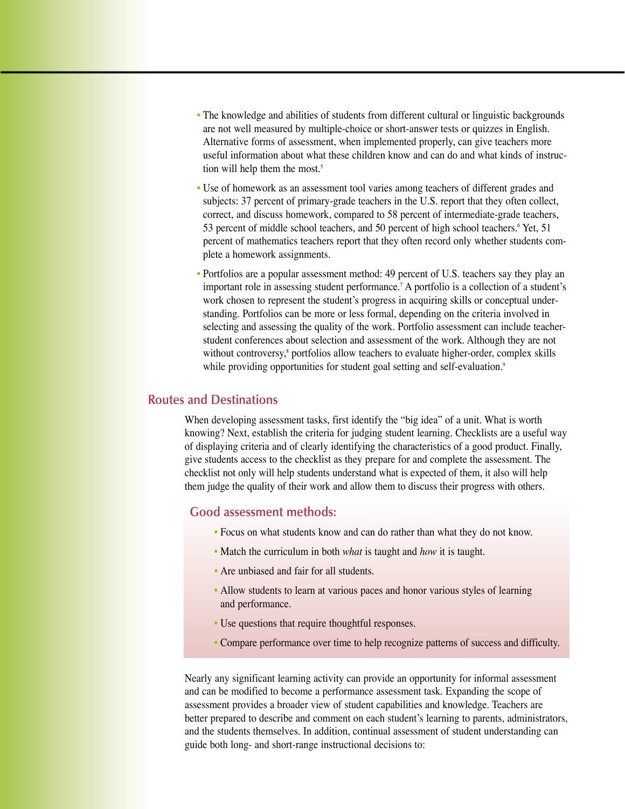- The knowledge and abilities of students from different cultural or linguistic backgrounds are not well measured by multiple-choice or short-answer tests or quizzes in English. Alternative forms of assessment, when implemented properly, can give teachers more useful information about what these children know and can do and what kinds of instruction will help them the most.<sup>5</sup>
- Use of homework as an assessment tool varies among teachers of different grades and subjects: 37 percent of primary-grade teachers in the U.S. report that they often collect, correct, and discuss homework, compared to 58 percent of intermediate-grade teachers, 53 percent of middle school teachers, and 50 percent of high school teachers.<sup>6</sup> Yet, 51 percent of mathematics teachers report that they often record only whether students complete a homework assignments.
- Portfolios are a popular assessment method: 49 percent of U.S. teachers say they play an important role in assessing student performance.7 A portfolio is a collection of a student's work chosen to represent the student's progress in acquiring skills or conceptual understanding. Portfolios can be more or less formal, depending on the criteria involved in selecting and assessing the quality of the work. Portfolio assessment can include teacherstudent conferences about selection and assessment of the work. Although they are not without controversy,<sup>8</sup> portfolios allow teachers to evaluate higher-order, complex skills while providing opportunities for student goal setting and self-evaluation.<sup>9</sup>

### **Routes and Destinations**

When developing assessment tasks, first identify the "big idea" of a unit. What is worth knowing? Next, establish the criteria for judging student learning. Checklists are a useful way of displaying criteria and of clearly identifying the characteristics of a good product. Finally, give students access to the checklist as they prepare for and complete the assessment. The checklist not only will help students understand what is expected of them, it also will help them judge the quality of their work and allow them to discuss their progress with others.

### **Good assessment methods:**

- Focus on what students know and can do rather than what they do not know.
- Match the curriculum in both *what* is taught and *how* it is taught.
- Are unbiased and fair for all students.
- Allow students to learn at various paces and honor various styles of learning and performance.
- Use questions that require thoughtful responses.
- Compare performance over time to help recognize patterns of success and difficulty.

Nearly any significant learning activity can provide an opportunity for informal assessment and can be modified to become a performance assessment task. Expanding the scope of assessment provides a broader view of student capabilities and knowledge. Teachers are better prepared to describe and comment on each student's learning to parents, administrators, and the students themselves. In addition, continual assessment of student understanding can guide both long- and short-range instructional decisions to: